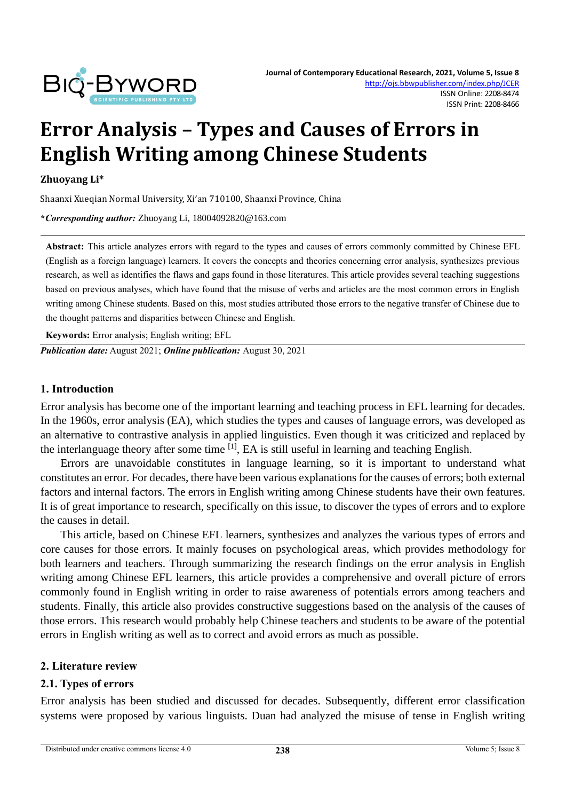

# **Error Analysis – Types and Causes of Errors in English Writing among Chinese Students**

#### **Zhuoyang Li\***

Shaanxi Xueqian Normal University, Xi'an 710100, Shaanxi Province, China

**\****Corresponding author:* Zhuoyang Li, 18004092820@163.com

**Abstract:** This article analyzes errors with regard to the types and causes of errors commonly committed by Chinese EFL (English as a foreign language) learners. It covers the concepts and theories concerning error analysis, synthesizes previous research, as well as identifies the flaws and gaps found in those literatures. This article provides several teaching suggestions based on previous analyses, which have found that the misuse of verbs and articles are the most common errors in English writing among Chinese students. Based on this, most studies attributed those errors to the negative transfer of Chinese due to the thought patterns and disparities between Chinese and English.

**Keywords:** Error analysis; English writing; EFL

*Publication date:* August 2021; *Online publication:* August 30, 2021

#### **1. Introduction**

Error analysis has become one of the important learning and teaching process in EFL learning for decades. In the 1960s, error analysis (EA), which studies the types and causes of language errors, was developed as an alternative to contrastive analysis in applied linguistics. Even though it was criticized and replaced by the interlanguage theory after some time [1], EA is still useful in learning and teaching English.

Errors are unavoidable constitutes in language learning, so it is important to understand what constitutes an error. For decades, there have been various explanations for the causes of errors; both external factors and internal factors. The errors in English writing among Chinese students have their own features. It is of great importance to research, specifically on this issue, to discover the types of errors and to explore the causes in detail.

This article, based on Chinese EFL learners, synthesizes and analyzes the various types of errors and core causes for those errors. It mainly focuses on psychological areas, which provides methodology for both learners and teachers. Through summarizing the research findings on the error analysis in English writing among Chinese EFL learners, this article provides a comprehensive and overall picture of errors commonly found in English writing in order to raise awareness of potentials errors among teachers and students. Finally, this article also provides constructive suggestions based on the analysis of the causes of those errors. This research would probably help Chinese teachers and students to be aware of the potential errors in English writing as well as to correct and avoid errors as much as possible.

#### **2. Literature review**

#### **2.1. Types of errors**

Error analysis has been studied and discussed for decades. Subsequently, different error classification systems were proposed by various linguists. Duan had analyzed the misuse of tense in English writing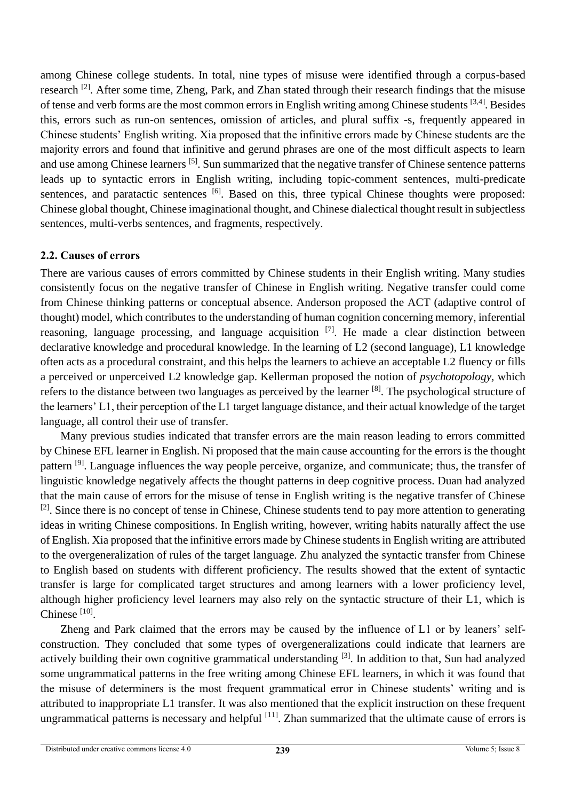among Chinese college students. In total, nine types of misuse were identified through a corpus-based research <sup>[2]</sup>. After some time, Zheng, Park, and Zhan stated through their research findings that the misuse of tense and verb forms are the most common errors in English writing among Chinese students [3,4]. Besides this, errors such as run-on sentences, omission of articles, and plural suffix -s, frequently appeared in Chinese students' English writing. Xia proposed that the infinitive errors made by Chinese students are the majority errors and found that infinitive and gerund phrases are one of the most difficult aspects to learn and use among Chinese learners [5]. Sun summarized that the negative transfer of Chinese sentence patterns leads up to syntactic errors in English writing, including topic-comment sentences, multi-predicate sentences, and paratactic sentences <sup>[6]</sup>. Based on this, three typical Chinese thoughts were proposed: Chinese global thought, Chinese imaginational thought, and Chinese dialectical thought result in subjectless sentences, multi-verbs sentences, and fragments, respectively.

# **2.2. Causes of errors**

There are various causes of errors committed by Chinese students in their English writing. Many studies consistently focus on the negative transfer of Chinese in English writing. Negative transfer could come from Chinese thinking patterns or conceptual absence. Anderson proposed the ACT (adaptive control of thought) model, which contributes to the understanding of human cognition concerning memory, inferential reasoning, language processing, and language acquisition [7]. He made a clear distinction between declarative knowledge and procedural knowledge. In the learning of L2 (second language), L1 knowledge often acts as a procedural constraint, and this helps the learners to achieve an acceptable L2 fluency or fills a perceived or unperceived L2 knowledge gap. Kellerman proposed the notion of *psychotopology,* which refers to the distance between two languages as perceived by the learner [8]. The psychological structure of the learners' L1, their perception of the L1 target language distance, and their actual knowledge of the target language, all control their use of transfer.

Many previous studies indicated that transfer errors are the main reason leading to errors committed by Chinese EFL learner in English. Ni proposed that the main cause accounting for the errors is the thought pattern <sup>[9]</sup>. Language influences the way people perceive, organize, and communicate; thus, the transfer of linguistic knowledge negatively affects the thought patterns in deep cognitive process. Duan had analyzed that the main cause of errors for the misuse of tense in English writing is the negative transfer of Chinese <sup>[2]</sup>. Since there is no concept of tense in Chinese, Chinese students tend to pay more attention to generating ideas in writing Chinese compositions. In English writing, however, writing habits naturally affect the use of English. Xia proposed that the infinitive errors made by Chinese students in English writing are attributed to the overgeneralization of rules of the target language. Zhu analyzed the syntactic transfer from Chinese to English based on students with different proficiency. The results showed that the extent of syntactic transfer is large for complicated target structures and among learners with a lower proficiency level, although higher proficiency level learners may also rely on the syntactic structure of their L1, which is Chinese<sup>[10]</sup>.

Zheng and Park claimed that the errors may be caused by the influence of L1 or by leaners' selfconstruction. They concluded that some types of overgeneralizations could indicate that learners are actively building their own cognitive grammatical understanding [3]. In addition to that, Sun had analyzed some ungrammatical patterns in the free writing among Chinese EFL learners, in which it was found that the misuse of determiners is the most frequent grammatical error in Chinese students' writing and is attributed to inappropriate L1 transfer. It was also mentioned that the explicit instruction on these frequent ungrammatical patterns is necessary and helpful <sup>[11]</sup>. Zhan summarized that the ultimate cause of errors is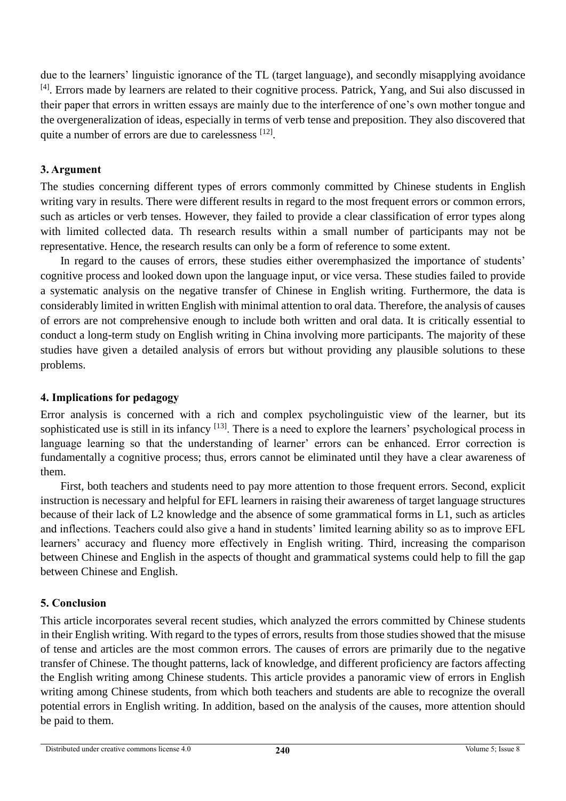due to the learners' linguistic ignorance of the TL (target language), and secondly misapplying avoidance [4]. Errors made by learners are related to their cognitive process. Patrick, Yang, and Sui also discussed in their paper that errors in written essays are mainly due to the interference of one's own mother tongue and the overgeneralization of ideas, especially in terms of verb tense and preposition. They also discovered that quite a number of errors are due to carelessness [12].

## **3. Argument**

The studies concerning different types of errors commonly committed by Chinese students in English writing vary in results. There were different results in regard to the most frequent errors or common errors, such as articles or verb tenses. However, they failed to provide a clear classification of error types along with limited collected data. Th research results within a small number of participants may not be representative. Hence, the research results can only be a form of reference to some extent.

In regard to the causes of errors, these studies either overemphasized the importance of students' cognitive process and looked down upon the language input, or vice versa. These studies failed to provide a systematic analysis on the negative transfer of Chinese in English writing. Furthermore, the data is considerably limited in written English with minimal attention to oral data. Therefore, the analysis of causes of errors are not comprehensive enough to include both written and oral data. It is critically essential to conduct a long-term study on English writing in China involving more participants. The majority of these studies have given a detailed analysis of errors but without providing any plausible solutions to these problems.

## **4. Implications for pedagogy**

Error analysis is concerned with a rich and complex psycholinguistic view of the learner, but its sophisticated use is still in its infancy <sup>[13]</sup>. There is a need to explore the learners' psychological process in language learning so that the understanding of learner' errors can be enhanced. Error correction is fundamentally a cognitive process; thus, errors cannot be eliminated until they have a clear awareness of them.

First, both teachers and students need to pay more attention to those frequent errors. Second, explicit instruction is necessary and helpful for EFL learners in raising their awareness of target language structures because of their lack of L2 knowledge and the absence of some grammatical forms in L1, such as articles and inflections. Teachers could also give a hand in students' limited learning ability so as to improve EFL learners' accuracy and fluency more effectively in English writing. Third, increasing the comparison between Chinese and English in the aspects of thought and grammatical systems could help to fill the gap between Chinese and English.

# **5. Conclusion**

This article incorporates several recent studies, which analyzed the errors committed by Chinese students in their English writing. With regard to the types of errors, results from those studies showed that the misuse of tense and articles are the most common errors. The causes of errors are primarily due to the negative transfer of Chinese. The thought patterns, lack of knowledge, and different proficiency are factors affecting the English writing among Chinese students. This article provides a panoramic view of errors in English writing among Chinese students, from which both teachers and students are able to recognize the overall potential errors in English writing. In addition, based on the analysis of the causes, more attention should be paid to them.